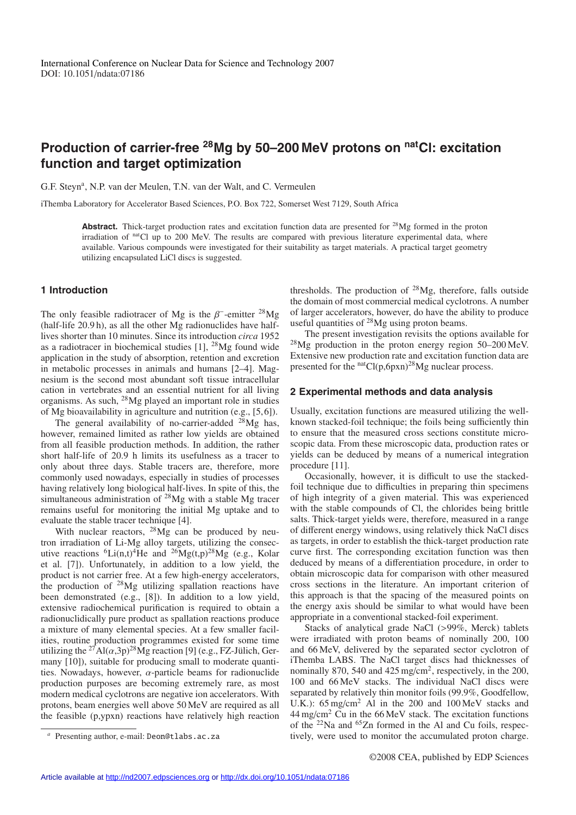# **Production of carrier-free 28Mg by 50–200 MeV protons on natCl: excitation function and target optimization**

G.F. Steyn<sup>a</sup>, N.P. van der Meulen, T.N. van der Walt, and C. Vermeulen

iThemba Laboratory for Accelerator Based Sciences, P.O. Box 722, Somerset West 7129, South Africa

Abstract. Thick-target production rates and excitation function data are presented for <sup>28</sup>Mg formed in the proton irradiation of natCl up to 200 MeV. The results are compared with previous literature experimental data, where available. Various compounds were investigated for their suitability as target materials. A practical target geometry utilizing encapsulated LiCl discs is suggested.

### **1 Introduction**

The only feasible radiotracer of Mg is the  $\beta^-$ -emitter <sup>28</sup>Mg (half-life 20.9 h), as all the other Mg radionuclides have halflives shorter than 10 minutes. Since its introduction *circa* 1952 as a radiotracer in biochemical studies  $[1]$ ,  $^{28}$ Mg found wide application in the study of absorption, retention and excretion in metabolic processes in animals and humans [2–4]. Magnesium is the second most abundant soft tissue intracellular cation in vertebrates and an essential nutrient for all living organisms. As such, 28Mg played an important role in studies of Mg bioavailability in agriculture and nutrition (e.g., [5, 6]).

The general availability of no-carrier-added  $^{28}$ Mg has, however, remained limited as rather low yields are obtained from all feasible production methods. In addition, the rather short half-life of 20.9 h limits its usefulness as a tracer to only about three days. Stable tracers are, therefore, more commonly used nowadays, especially in studies of processes having relatively long biological half-lives. In spite of this, the simultaneous administration of 28Mg with a stable Mg tracer remains useful for monitoring the initial Mg uptake and to evaluate the stable tracer technique [4].

With nuclear reactors,  $^{28}Mg$  can be produced by neutron irradiation of Li-Mg alloy targets, utilizing the consecutive reactions  ${}^{6}Li(n,t){}^{4}He$  and  ${}^{26}Mg(t,p){}^{28}Mg$  (e.g., Kolar et al. [7]). Unfortunately, in addition to a low yield, the product is not carrier free. At a few high-energy accelerators, the production of  $28$ Mg utilizing spallation reactions have been demonstrated (e.g., [8]). In addition to a low yield, extensive radiochemical purification is required to obtain a radionuclidically pure product as spallation reactions produce a mixture of many elemental species. At a few smaller facilities, routine production programmes existed for some time utilizing the <sup>27</sup>Al( $\alpha$ ,3p)<sup>28</sup>Mg reaction [9] (e.g., FZ-Jülich, Germany [10]), suitable for producing small to moderate quantities. Nowadays, however,  $\alpha$ -particle beams for radionuclide production purposes are becoming extremely rare, as most modern medical cyclotrons are negative ion accelerators. With protons, beam energies well above 50 MeV are required as all the feasible (p,ypxn) reactions have relatively high reaction thresholds. The production of  $^{28}Mg$ , therefore, falls outside the domain of most commercial medical cyclotrons. A number of larger accelerators, however, do have the ability to produce useful quantities of  $^{28}Mg$  using proton beams.

The present investigation revisits the options available for 28Mg production in the proton energy region 50–200 MeV. Extensive new production rate and excitation function data are presented for the  $<sup>nat</sup>Cl(p,6pxn)<sup>28</sup>$ Mg nuclear process.</sup>

#### **2 Experimental methods and data analysis**

Usually, excitation functions are measured utilizing the wellknown stacked-foil technique; the foils being sufficiently thin to ensure that the measured cross sections constitute microscopic data. From these microscopic data, production rates or yields can be deduced by means of a numerical integration procedure [11].

Occasionally, however, it is difficult to use the stackedfoil technique due to difficulties in preparing thin specimens of high integrity of a given material. This was experienced with the stable compounds of Cl, the chlorides being brittle salts. Thick-target yields were, therefore, measured in a range of different energy windows, using relatively thick NaCl discs as targets, in order to establish the thick-target production rate curve first. The corresponding excitation function was then deduced by means of a differentiation procedure, in order to obtain microscopic data for comparison with other measured cross sections in the literature. An important criterion of this approach is that the spacing of the measured points on the energy axis should be similar to what would have been appropriate in a conventional stacked-foil experiment.

Stacks of analytical grade NaCl (>99%, Merck) tablets were irradiated with proton beams of nominally 200, 100 and 66 MeV, delivered by the separated sector cyclotron of iThemba LABS. The NaCl target discs had thicknesses of nominally 870, 540 and 425 mg/cm<sup>2</sup>, respectively, in the 200, 100 and 66 MeV stacks. The individual NaCl discs were separated by relatively thin monitor foils (99.9%, Goodfellow, U.K.):  $65 \text{ mg/cm}^2$  Al in the 200 and 100 MeV stacks and  $44 \text{ mg/cm}^2$  Cu in the 66 MeV stack. The excitation functions of the 22Na and 65Zn formed in the Al and Cu foils, respectively, were used to monitor the accumulated proton charge.

Presenting author, e-mail: Deon@tlabs.ac.za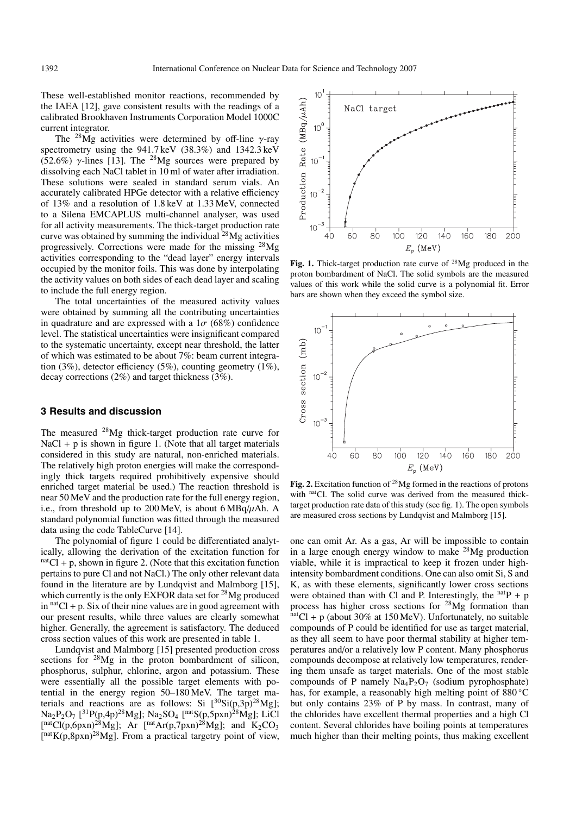These well-established monitor reactions, recommended by the IAEA [12], gave consistent results with the readings of a calibrated Brookhaven Instruments Corporation Model 1000C current integrator.

The <sup>28</sup>Mg activities were determined by off-line  $\gamma$ -ray spectrometry using the 941.7 keV (38.3%) and 1342.3 keV (52.6%)  $\gamma$ -lines [13]. The <sup>28</sup>Mg sources were prepared by dissolving each NaCl tablet in 10 ml of water after irradiation. These solutions were sealed in standard serum vials. An accurately calibrated HPGe detector with a relative efficiency of 13% and a resolution of 1.8 keV at 1.33 MeV, connected to a Silena EMCAPLUS multi-channel analyser, was used for all activity measurements. The thick-target production rate curve was obtained by summing the individual  $^{28}Mg$  activities progressively. Corrections were made for the missing 28Mg activities corresponding to the "dead layer" energy intervals occupied by the monitor foils. This was done by interpolating the activity values on both sides of each dead layer and scaling to include the full energy region.

The total uncertainties of the measured activity values were obtained by summing all the contributing uncertainties in quadrature and are expressed with a  $1\sigma$  (68%) confidence level. The statistical uncertainties were insignificant compared to the systematic uncertainty, except near threshold, the latter of which was estimated to be about 7%: beam current integration (3%), detector efficiency (5%), counting geometry (1%), decay corrections (2%) and target thickness (3%).

## **3 Results and discussion**

The measured 28Mg thick-target production rate curve for  $NaCl + p$  is shown in figure 1. (Note that all target materials considered in this study are natural, non-enriched materials. The relatively high proton energies will make the correspondingly thick targets required prohibitively expensive should enriched target material be used.) The reaction threshold is near 50 MeV and the production rate for the full energy region, i.e., from threshold up to  $200 \,\text{MeV}$ , is about  $6 \,\text{MBq}/\mu$ Ah. A standard polynomial function was fitted through the measured data using the code TableCurve [14].

The polynomial of figure 1 could be differentiated analytically, allowing the derivation of the excitation function for  $<sup>nat</sup>Cl + p$ , shown in figure 2. (Note that this excitation function</sup> pertains to pure Cl and not NaCl.) The only other relevant data found in the literature are by Lundqvist and Malmborg [15], which currently is the only EXFOR data set for  $^{28}Mg$  produced in  $<sup>nat</sup>Cl + p$ . Six of their nine values are in good agreement with</sup> our present results, while three values are clearly somewhat higher. Generally, the agreement is satisfactory. The deduced cross section values of this work are presented in table 1.

Lundqvist and Malmborg [15] presented production cross sections for <sup>28</sup>Mg in the proton bombardment of silicon, phosphorus, sulphur, chlorine, argon and potassium. These were essentially all the possible target elements with potential in the energy region 50–180 MeV. The target materials and reactions are as follows: Si  $[^{30}\text{Si}(p,3p)^{28}\text{Mg}$ ];  $\rm Na_2P_2O_7$  [<sup>31</sup>P(p,4p)<sup>28</sup>Mg];  $\rm Na_2SO_4$  [<sup>nat</sup>S(p,5pxn)<sup>28</sup>Mg]; LiCl [natCl(p,6pxn)<sup>28</sup>Mg]; Ar [natAr(p,7pxn)<sup>28</sup>Mg]; and K<sub>2</sub>CO<sub>3</sub>  $[$ <sup>nat</sup>K(p,8pxn)<sup>28</sup>Mg]. From a practical targetry point of view,



Fig. 1. Thick-target production rate curve of <sup>28</sup>Mg produced in the proton bombardment of NaCl. The solid symbols are the measured values of this work while the solid curve is a polynomial fit. Error bars are shown when they exceed the symbol size.



**Fig. 2.** Excitation function of 28Mg formed in the reactions of protons with <sup>nat</sup>Cl. The solid curve was derived from the measured thicktarget production rate data of this study (see fig. 1). The open symbols are measured cross sections by Lundqvist and Malmborg [15].

one can omit Ar. As a gas, Ar will be impossible to contain in a large enough energy window to make 28Mg production viable, while it is impractical to keep it frozen under highintensity bombardment conditions. One can also omit Si, S and K, as with these elements, significantly lower cross sections were obtained than with Cl and P. Interestingly, the  $natP + p$ process has higher cross sections for <sup>28</sup>Mg formation than natCl + p (about 30% at 150 MeV). Unfortunately, no suitable compounds of P could be identified for use as target material, as they all seem to have poor thermal stability at higher temperatures and/or a relatively low P content. Many phosphorus compounds decompose at relatively low temperatures, rendering them unsafe as target materials. One of the most stable compounds of P namely  $Na_4P_2O_7$  (sodium pyrophosphate) has, for example, a reasonably high melting point of 880 °C but only contains 23% of P by mass. In contrast, many of the chlorides have excellent thermal properties and a high Cl content. Several chlorides have boiling points at temperatures much higher than their melting points, thus making excellent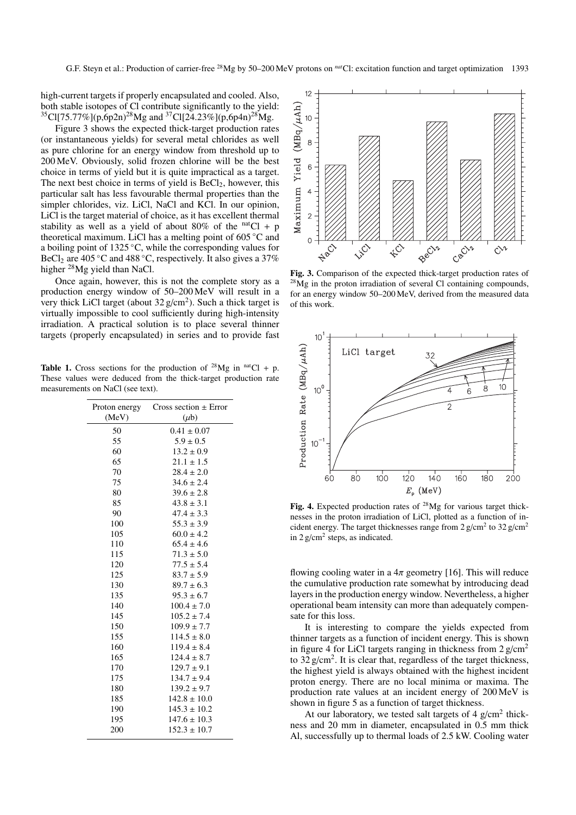high-current targets if properly encapsulated and cooled. Also, both stable isotopes of Cl contribute significantly to the yield:  ${}^{35}$ Cl[75.77%](p,6p2n)<sup>28</sup>Mg and  ${}^{37}$ Cl[24.23%](p,6p4n)<sup>28</sup>Mg.

Figure 3 shows the expected thick-target production rates (or instantaneous yields) for several metal chlorides as well as pure chlorine for an energy window from threshold up to 200 MeV. Obviously, solid frozen chlorine will be the best choice in terms of yield but it is quite impractical as a target. The next best choice in terms of yield is  $BeCl<sub>2</sub>$ , however, this particular salt has less favourable thermal properties than the simpler chlorides, viz. LiCl, NaCl and KCl. In our opinion, LiCl is the target material of choice, as it has excellent thermal stability as well as a yield of about 80% of the  $<sup>nat</sup>Cl + p$ </sup> theoretical maximum. LiCl has a melting point of 605 ◦C and a boiling point of 1325 ◦C, while the corresponding values for BeCl<sub>2</sub> are 405 °C and 488 °C, respectively. It also gives a 37% higher 28Mg yield than NaCl.

Once again, however, this is not the complete story as a production energy window of 50–200 MeV will result in a very thick LiCl target (about  $32 \text{ g/cm}^2$ ). Such a thick target is virtually impossible to cool sufficiently during high-intensity irradiation. A practical solution is to place several thinner targets (properly encapsulated) in series and to provide fast

**Table 1.** Cross sections for the production of <sup>28</sup>Mg in <sup>nat</sup>Cl + p. These values were deduced from the thick-target production rate measurements on NaCl (see text).

| Proton energy | Cross section $\pm$ Error |  |  |
|---------------|---------------------------|--|--|
| (MeV)         | $(\mu b)$                 |  |  |
| 50            | $0.41 \pm 0.07$           |  |  |
| 55            | $5.9 \pm 0.5$             |  |  |
| 60            | $13.2 \pm 0.9$            |  |  |
| 65            | $21.1 \pm 1.5$            |  |  |
| 70            | $28.4 \pm 2.0$            |  |  |
| 75            | $34.6 \pm 2.4$            |  |  |
| 80            | $39.6 \pm 2.8$            |  |  |
| 85            | $43.8 \pm 3.1$            |  |  |
| 90            | $47.4 \pm 3.3$            |  |  |
| 100           | $55.3 \pm 3.9$            |  |  |
| 105           | $60.0 \pm 4.2$            |  |  |
| 110           | $65.4 \pm 4.6$            |  |  |
| 115           | $71.3 \pm 5.0$            |  |  |
| 120           | $77.5 \pm 5.4$            |  |  |
| 125           | $83.7 \pm 5.9$            |  |  |
| 130           | $89.7 \pm 6.3$            |  |  |
| 135           | $95.3 \pm 6.7$            |  |  |
| 140           | $100.4 \pm 7.0$           |  |  |
| 145           | $105.2 \pm 7.4$           |  |  |
| 150           | $109.9 \pm 7.7$           |  |  |
| 155           | $114.5 \pm 8.0$           |  |  |
| 160           | $119.4 \pm 8.4$           |  |  |
| 165           | $124.4 \pm 8.7$           |  |  |
| 170           | $129.7 \pm 9.1$           |  |  |
| 175           | $134.7 \pm 9.4$           |  |  |
| 180           | $139.2 \pm 9.7$           |  |  |
| 185           | $142.8 \pm 10.0$          |  |  |
| 190           | $145.3 \pm 10.2$          |  |  |
| 195           | $147.6 \pm 10.3$          |  |  |
| 200           | $152.3 \pm 10.7$          |  |  |



**Fig. 3.** Comparison of the expected thick-target production rates of 28Mg in the proton irradiation of several Cl containing compounds, for an energy window 50–200 MeV, derived from the measured data of this work.



Fig. 4. Expected production rates of <sup>28</sup>Mg for various target thicknesses in the proton irradiation of LiCl, plotted as a function of incident energy. The target thicknesses range from  $2 \text{ g/cm}^2$  to  $32 \text{ g/cm}^2$ in 2  $g/cm<sup>2</sup>$  steps, as indicated.

flowing cooling water in a  $4\pi$  geometry [16]. This will reduce the cumulative production rate somewhat by introducing dead layers in the production energy window. Nevertheless, a higher operational beam intensity can more than adequately compensate for this loss.

It is interesting to compare the yields expected from thinner targets as a function of incident energy. This is shown in figure 4 for LiCl targets ranging in thickness from  $2 \text{ g/cm}^2$ to  $32 \text{ g/cm}^2$ . It is clear that, regardless of the target thickness, the highest yield is always obtained with the highest incident proton energy. There are no local minima or maxima. The production rate values at an incident energy of 200 MeV is shown in figure 5 as a function of target thickness.

At our laboratory, we tested salt targets of  $4 \text{ g/cm}^2$  thickness and 20 mm in diameter, encapsulated in 0.5 mm thick Al, successfully up to thermal loads of 2.5 kW. Cooling water